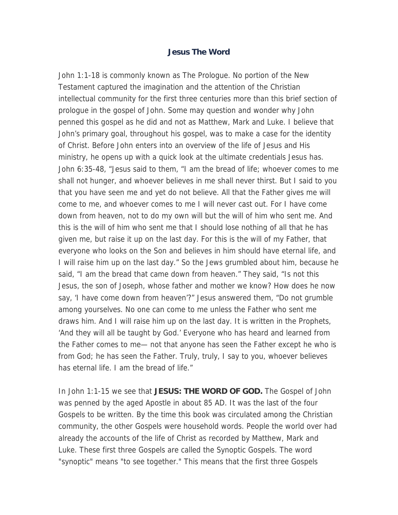## **Jesus The Word**

John 1:1-18 is commonly known as The Prologue. No portion of the New Testament captured the imagination and the attention of the Christian intellectual community for the first three centuries more than this brief section of prologue in the gospel of John. Some may question and wonder why John penned this gospel as he did and not as Matthew, Mark and Luke. I believe that John's primary goal, throughout his gospel, was to make a case for the identity of Christ. Before John enters into an overview of the life of Jesus and His ministry, he opens up with a quick look at the ultimate credentials Jesus has. John 6:35-48, "Jesus said to them, "I am the bread of life; whoever comes to me shall not hunger, and whoever believes in me shall never thirst. But I said to you that you have seen me and yet do not believe. All that the Father gives me will come to me, and whoever comes to me I will never cast out. For I have come down from heaven, not to do my own will but the will of him who sent me. And this is the will of him who sent me that I should lose nothing of all that he has given me, but raise it up on the last day. For this is the will of my Father, that everyone who looks on the Son and believes in him should have eternal life, and I will raise him up on the last day." So the Jews grumbled about him, because he said, "I am the bread that came down from heaven." They said, "Is not this Jesus, the son of Joseph, whose father and mother we know? How does he now say, 'I have come down from heaven'?" Jesus answered them, "Do not grumble among yourselves. No one can come to me unless the Father who sent me draws him. And I will raise him up on the last day. It is written in the Prophets, 'And they will all be taught by God.' Everyone who has heard and learned from the Father comes to me— not that anyone has seen the Father except he who is from God; he has seen the Father. Truly, truly, I say to you, whoever believes has eternal life. I am the bread of life."

In John 1:1-15 we see that **JESUS: THE WORD OF GOD.** The Gospel of John was penned by the aged Apostle in about 85 AD. It was the last of the four Gospels to be written. By the time this book was circulated among the Christian community, the other Gospels were household words. People the world over had already the accounts of the life of Christ as recorded by Matthew, Mark and Luke. These first three Gospels are called the Synoptic Gospels. The word "synoptic" means "to see together." This means that the first three Gospels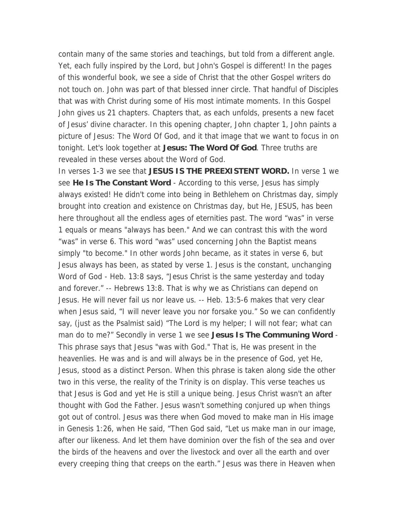contain many of the same stories and teachings, but told from a different angle. Yet, each fully inspired by the Lord, but John's Gospel is different! In the pages of this wonderful book, we see a side of Christ that the other Gospel writers do not touch on. John was part of that blessed inner circle. That handful of Disciples that was with Christ during some of His most intimate moments. In this Gospel John gives us 21 chapters. Chapters that, as each unfolds, presents a new facet of Jesus' divine character. In this opening chapter, John chapter 1, John paints a picture of Jesus: The Word Of God, and it that image that we want to focus in on tonight. Let's look together at **Jesus: The Word Of God**. Three truths are revealed in these verses about the Word of God.

In verses 1-3 we see that **JESUS IS THE PREEXISTENT WORD.** In verse 1 we see **He Is The Constant Word** - According to this verse, Jesus has simply always existed! He didn't come into being in Bethlehem on Christmas day, simply brought into creation and existence on Christmas day, but He, JESUS, has been here throughout all the endless ages of eternities past. The word "was" in verse 1 equals or means "always has been." And we can contrast this with the word "was" in verse 6. This word "was" used concerning John the Baptist means simply "to become." In other words John became, as it states in verse 6, but Jesus always has been, as stated by verse 1. Jesus is the constant, unchanging Word of God - Heb. 13:8 says, "Jesus Christ is the same yesterday and today and forever." -- Hebrews 13:8. That is why we as Christians can depend on Jesus. He will never fail us nor leave us. -- Heb. 13:5-6 makes that very clear when Jesus said, "I will never leave you nor forsake you." So we can confidently say, (just as the Psalmist said) "The Lord is my helper; I will not fear; what can man do to me?" Secondly in verse 1 we see **Jesus Is The Communing Word** - This phrase says that Jesus "was with God." That is, He was present in the heavenlies. He was and is and will always be in the presence of God, yet He, Jesus, stood as a distinct Person. When this phrase is taken along side the other two in this verse, the reality of the Trinity is on display. This verse teaches us that Jesus is God and yet He is still a unique being. Jesus Christ wasn't an after thought with God the Father. Jesus wasn't something conjured up when things got out of control. Jesus was there when God moved to make man in His image in Genesis 1:26, when He said, "Then God said, "Let us make man in our image, after our likeness. And let them have dominion over the fish of the sea and over the birds of the heavens and over the livestock and over all the earth and over every creeping thing that creeps on the earth." Jesus was there in Heaven when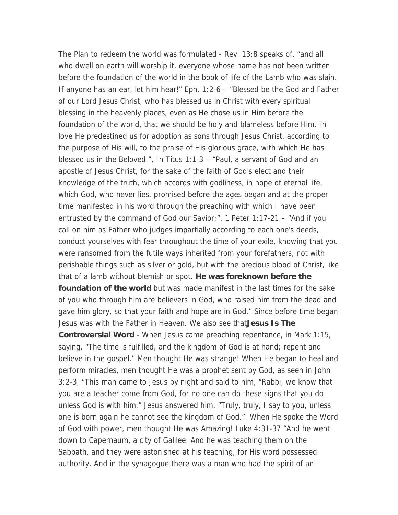The Plan to redeem the world was formulated - Rev. 13:8 speaks of, "and all who dwell on earth will worship it, everyone whose name has not been written before the foundation of the world in the book of life of the Lamb who was slain. If anyone has an ear, let him hear!" Eph. 1:2-6 – "Blessed be the God and Father of our Lord Jesus Christ, who has blessed us in Christ with every spiritual blessing in the heavenly places, even as He chose us in Him before the foundation of the world, that we should be holy and blameless before Him. In love He predestined us for adoption as sons through Jesus Christ, according to the purpose of His will, to the praise of His glorious grace, with which He has blessed us in the Beloved.", In Titus 1:1-3 – "Paul, a servant of God and an apostle of Jesus Christ, for the sake of the faith of God's elect and their knowledge of the truth, which accords with godliness, in hope of eternal life, which God, who never lies, promised before the ages began and at the proper time manifested in his word through the preaching with which I have been entrusted by the command of God our Savior;", 1 Peter 1:17-21 – "And if you call on him as Father who judges impartially according to each one's deeds, conduct yourselves with fear throughout the time of your exile, knowing that you were ransomed from the futile ways inherited from your forefathers, not with perishable things such as silver or gold, but with the precious blood of Christ, like that of a lamb without blemish or spot. **He was foreknown before the foundation of the world** but was made manifest in the last times for the sake of you who through him are believers in God, who raised him from the dead and gave him glory, so that your faith and hope are in God." Since before time began Jesus was with the Father in Heaven. We also see that**Jesus Is The Controversial Word** - When Jesus came preaching repentance, in Mark 1:15, saying, "The time is fulfilled, and the kingdom of God is at hand; repent and believe in the gospel." Men thought He was strange! When He began to heal and perform miracles, men thought He was a prophet sent by God, as seen in John 3:2-3, "This man came to Jesus by night and said to him, "Rabbi, we know that you are a teacher come from God, for no one can do these signs that you do unless God is with him." Jesus answered him, "Truly, truly, I say to you, unless one is born again he cannot see the kingdom of God.". When He spoke the Word of God with power, men thought He was Amazing! Luke 4:31-37 "And he went down to Capernaum, a city of Galilee. And he was teaching them on the Sabbath, and they were astonished at his teaching, for His word possessed authority. And in the synagogue there was a man who had the spirit of an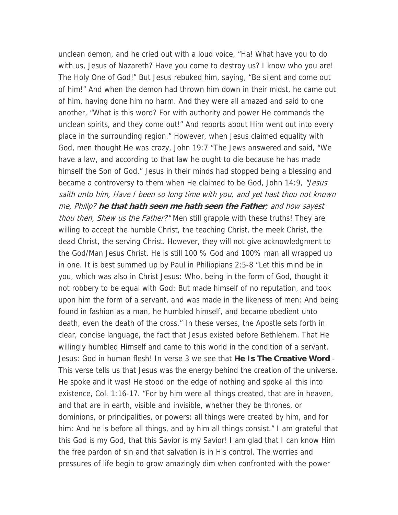unclean demon, and he cried out with a loud voice, "Ha! What have you to do with us, Jesus of Nazareth? Have you come to destroy us? I know who you are! The Holy One of God!" But Jesus rebuked him, saying, "Be silent and come out of him!" And when the demon had thrown him down in their midst, he came out of him, having done him no harm. And they were all amazed and said to one another, "What is this word? For with authority and power He commands the unclean spirits, and they come out!" And reports about Him went out into every place in the surrounding region." However, when Jesus claimed equality with God, men thought He was crazy, John 19:7 "The Jews answered and said, "We have a law, and according to that law he ought to die because he has made himself the Son of God." Jesus in their minds had stopped being a blessing and became a controversy to them when He claimed to be God, John 14:9, "Jesus" saith unto him, Have I been so long time with you, and yet hast thou not known me, Philip? **he that hath seen me hath seen the Father**; and how sayest thou then, Shew us the Father?" Men still grapple with these truths! They are willing to accept the humble Christ, the teaching Christ, the meek Christ, the dead Christ, the serving Christ. However, they will not give acknowledgment to the God/Man Jesus Christ. He is still 100 % God and 100% man all wrapped up in one. It is best summed up by Paul in Philippians 2:5-8 "Let this mind be in you, which was also in Christ Jesus: Who, being in the form of God, thought it not robbery to be equal with God: But made himself of no reputation, and took upon him the form of a servant, and was made in the likeness of men: And being found in fashion as a man, he humbled himself, and became obedient unto death, even the death of the cross." In these verses, the Apostle sets forth in clear, concise language, the fact that Jesus existed before Bethlehem. That He willingly humbled Himself and came to this world in the condition of a servant. Jesus: God in human flesh! In verse 3 we see that **He Is The Creative Word** - This verse tells us that Jesus was the energy behind the creation of the universe. He spoke and it was! He stood on the edge of nothing and spoke all this into existence, Col. 1:16-17. "For by him were all things created, that are in heaven, and that are in earth, visible and invisible, whether they be thrones, or dominions, or principalities, or powers: all things were created by him, and for him: And he is before all things, and by him all things consist." I am grateful that this God is my God, that this Savior is my Savior! I am glad that I can know Him the free pardon of sin and that salvation is in His control. The worries and pressures of life begin to grow amazingly dim when confronted with the power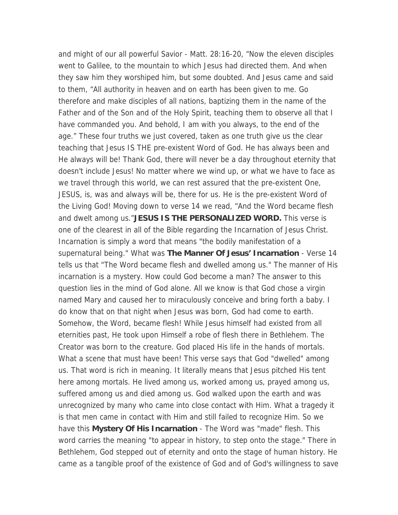and might of our all powerful Savior - Matt. 28:16-20, "Now the eleven disciples went to Galilee, to the mountain to which Jesus had directed them. And when they saw him they worshiped him, but some doubted. And Jesus came and said to them, "All authority in heaven and on earth has been given to me. Go therefore and make disciples of all nations, baptizing them in the name of the Father and of the Son and of the Holy Spirit, teaching them to observe all that I have commanded you. And behold, I am with you always, to the end of the age." These four truths we just covered, taken as one truth give us the clear teaching that Jesus IS THE pre-existent Word of God. He has always been and He always will be! Thank God, there will never be a day throughout eternity that doesn't include Jesus! No matter where we wind up, or what we have to face as we travel through this world, we can rest assured that the pre-existent One, JESUS, is, was and always will be, there for us. He is the pre-existent Word of the Living God! Moving down to verse 14 we read, "And the Word became flesh and dwelt among us."**JESUS IS THE PERSONALIZED WORD.** This verse is one of the clearest in all of the Bible regarding the Incarnation of Jesus Christ. Incarnation is simply a word that means "the bodily manifestation of a supernatural being." What was **The Manner Of Jesus' Incarnation** - Verse 14 tells us that "The Word became flesh and dwelled among us." The manner of His incarnation is a mystery. How could God become a man? The answer to this question lies in the mind of God alone. All we know is that God chose a virgin named Mary and caused her to miraculously conceive and bring forth a baby. I do know that on that night when Jesus was born, God had come to earth. Somehow, the Word, became flesh! While Jesus himself had existed from all eternities past, He took upon Himself a robe of flesh there in Bethlehem. The Creator was born to the creature. God placed His life in the hands of mortals. What a scene that must have been! This verse says that God "dwelled" among us. That word is rich in meaning. It literally means that Jesus pitched His tent here among mortals. He lived among us, worked among us, prayed among us, suffered among us and died among us. God walked upon the earth and was unrecognized by many who came into close contact with Him. What a tragedy it is that men came in contact with Him and still failed to recognize Him. So we have this **Mystery Of His Incarnation** - The Word was "made" flesh. This word carries the meaning "to appear in history, to step onto the stage." There in Bethlehem, God stepped out of eternity and onto the stage of human history. He came as a tangible proof of the existence of God and of God's willingness to save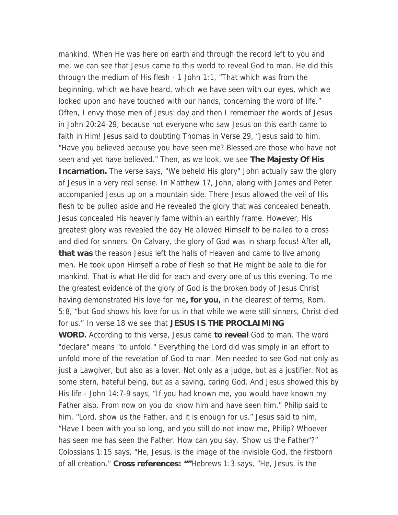mankind. When He was here on earth and through the record left to you and me, we can see that Jesus came to this world to reveal God to man. He did this through the medium of His flesh - 1 John 1:1, "That which was from the beginning, which we have heard, which we have seen with our eyes, which we looked upon and have touched with our hands, concerning the word of life." Often, I envy those men of Jesus' day and then I remember the words of Jesus in John 20:24-29, because not everyone who saw Jesus on this earth came to faith in Him! Jesus said to doubting Thomas in Verse 29, "Jesus said to him, "Have you believed because you have seen me? Blessed are those who have not seen and yet have believed." Then, as we look, we see **The Majesty Of His Incarnation.** The verse says, "We beheld His glory" John actually saw the glory of Jesus in a very real sense. In Matthew 17, John, along with James and Peter accompanied Jesus up on a mountain side. There Jesus allowed the veil of His flesh to be pulled aside and He revealed the glory that was concealed beneath. Jesus concealed His heavenly fame within an earthly frame. However, His greatest glory was revealed the day He allowed Himself to be nailed to a cross and died for sinners. On Calvary, the glory of God was in sharp focus! After all**, that was** the reason Jesus left the halls of Heaven and came to live among men. He took upon Himself a robe of flesh so that He might be able to die for mankind. That is what He did for each and every one of us this evening. To me the greatest evidence of the glory of God is the broken body of Jesus Christ having demonstrated His love for me**, for you,** in the clearest of terms, Rom. 5:8, "but God shows his love for us in that while we were still sinners, Christ died for us." In verse 18 we see that **JESUS IS THE PROCLAIMING WORD.** According to this verse, Jesus came **to reveal** God to man. The word "declare" means "to unfold." Everything the Lord did was simply in an effort to

unfold more of the revelation of God to man. Men needed to see God not only as just a Lawgiver, but also as a lover. Not only as a judge, but as a justifier. Not as some stern, hateful being, but as a saving, caring God. And Jesus showed this by His life - John 14:7-9 says, "If you had known me, you would have known my Father also. From now on you do know him and have seen him." Philip said to him, "Lord, show us the Father, and it is enough for us." Jesus said to him, "Have I been with you so long, and you still do not know me, Philip? Whoever has seen me has seen the Father. How can you say, 'Show us the Father'?" Colossians 1:15 says, "He, Jesus, is the image of the invisible God, the firstborn of all creation." **Cross references: ""**Hebrews 1:3 says, "He, Jesus, is the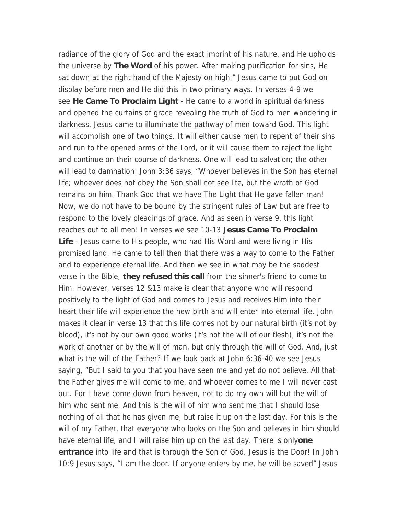radiance of the glory of God and the exact imprint of his nature, and He upholds the universe by **The Word** of his power. After making purification for sins, He sat down at the right hand of the Majesty on high." Jesus came to put God on display before men and He did this in two primary ways. In verses 4-9 we see **He Came To Proclaim Light** - He came to a world in spiritual darkness and opened the curtains of grace revealing the truth of God to men wandering in darkness. Jesus came to illuminate the pathway of men toward God. This light will accomplish one of two things. It will either cause men to repent of their sins and run to the opened arms of the Lord, or it will cause them to reject the light and continue on their course of darkness. One will lead to salvation; the other will lead to damnation! John 3:36 says, "Whoever believes in the Son has eternal life; whoever does not obey the Son shall not see life, but the wrath of God remains on him. Thank God that we have The Light that He gave fallen man! Now, we do not have to be bound by the stringent rules of Law but are free to respond to the lovely pleadings of grace. And as seen in verse 9, this light reaches out to all men! In verses we see 10-13 **Jesus Came To Proclaim Life** - Jesus came to His people, who had His Word and were living in His promised land. He came to tell then that there was a way to come to the Father and to experience eternal life. And then we see in what may be the saddest verse in the Bible, **they refused this call** from the sinner's friend to come to Him. However, verses 12 &13 make is clear that anyone who will respond positively to the light of God and comes to Jesus and receives Him into their heart their life will experience the new birth and will enter into eternal life. John makes it clear in verse 13 that this life comes not by our natural birth (it's not by blood), it's not by our own good works (it's not the will of our flesh), it's not the work of another or by the will of man, but only through the will of God. And, just what is the will of the Father? If we look back at John 6:36-40 we see Jesus saying, "But I said to you that you have seen me and yet do not believe. All that the Father gives me will come to me, and whoever comes to me I will never cast out. For I have come down from heaven, not to do my own will but the will of him who sent me. And this is the will of him who sent me that I should lose nothing of all that he has given me, but raise it up on the last day. For this is the will of my Father, that everyone who looks on the Son and believes in him should have eternal life, and I will raise him up on the last day. There is only**one entrance** into life and that is through the Son of God. Jesus is the Door! In John 10:9 Jesus says, "I am the door. If anyone enters by me, he will be saved" Jesus